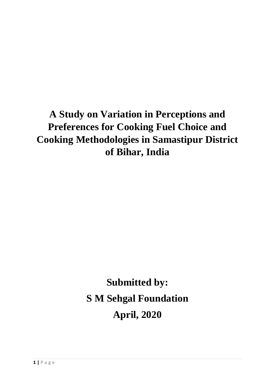# **A Study on Variation in Perceptions and Preferences for Cooking Fuel Choice and Cooking Methodologies in Samastipur District of Bihar, India**

**Submitted by: S M Sehgal Foundation April, 2020**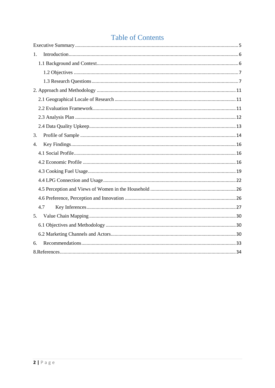# **Table of Contents**

| 1.  |  |
|-----|--|
|     |  |
|     |  |
|     |  |
|     |  |
|     |  |
|     |  |
|     |  |
|     |  |
| 3.  |  |
| 4.  |  |
|     |  |
|     |  |
|     |  |
|     |  |
|     |  |
|     |  |
| 4.7 |  |
| 5.  |  |
|     |  |
|     |  |
| 6.  |  |
|     |  |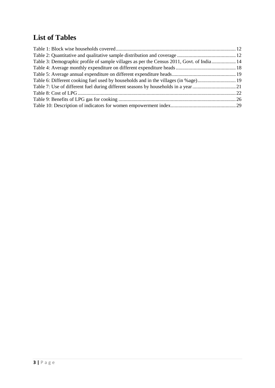# **List of Tables**

| Table 3: Demographic profile of sample villages as per the Census 2011, Govt. of India 14 |  |
|-------------------------------------------------------------------------------------------|--|
|                                                                                           |  |
|                                                                                           |  |
| Table 6: Different cooking fuel used by households and in the villages (in %age)19        |  |
|                                                                                           |  |
|                                                                                           |  |
|                                                                                           |  |
|                                                                                           |  |
|                                                                                           |  |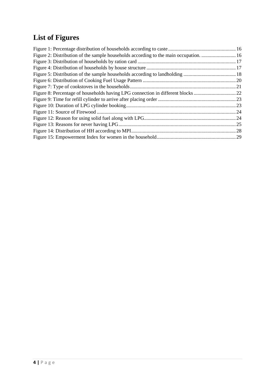# **List of Figures**

| Figure 2: Distribution of the sample households according to the main occupation16 |  |
|------------------------------------------------------------------------------------|--|
|                                                                                    |  |
|                                                                                    |  |
|                                                                                    |  |
|                                                                                    |  |
|                                                                                    |  |
|                                                                                    |  |
|                                                                                    |  |
|                                                                                    |  |
|                                                                                    |  |
|                                                                                    |  |
|                                                                                    |  |
|                                                                                    |  |
|                                                                                    |  |
|                                                                                    |  |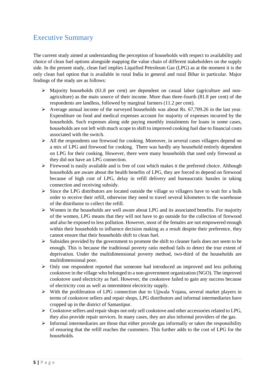# <span id="page-4-0"></span>Executive Summary

The current study aimed at understanding the perception of households with respect to availability and choice of clean fuel options alongside mapping the value chain of different stakeholders on the supply side. In the present study, clean fuel implies Liquified Petroleum Gas (LPG) as at the moment it is the only clean fuel option that is available in rural India in general and rural Bihar in particular. Major findings of the study are as follows:

- $\triangleright$  Majority households (61.8 per cent) are dependent on casual labor (agriculture and nonagriculture) as the main source of their income. More than three-fourth (81.8 per cent) of the respondents are landless, followed by marginal farmers (11.2 per cent).
- $\triangleright$  Average annual income of the surveyed households was about Rs. 67,709.26 in the last year. Expenditure on food and medical expenses account for majority of expenses incurred by the households. Such expenses along side paying monthly instalments for loans in some cases, households are not left with much scope to shift to improved cooking fuel due to financial costs associated with the switch.
- $\triangleright$  All the respondents use firewood for cooking. Moreover, in several cases villagers depend on a mix of LPG and firewood for cooking. There was hardly any household entirely dependent on LPG for their cooking. However, there were many households that used only firewood as they did not have an LPG connection.
- $\triangleright$  Firewood is easily available and is free of cost which makes it the preferred choice. Although households are aware about the health benefits of LPG, they are forced to depend on firewood because of high cost of LPG, delay in refill delivery and bureaucratic hassles in taking connection and receiving subsidy.
- $\triangleright$  Since the LPG distributors are located outside the village so villagers have to wait for a bulk order to receive their refill, otherwise they need to travel several kilometers to the warehouse of the distributor to collect the refill.
- $\triangleright$  Women in the households are well aware about LPG and its associated benefits. For majority of the women, LPG means that they will not have to go outside for the collection of firewood and also be exposed to less pollution. However, most of the females are not empowered enough within their households to influence decision making as a result despite their preference, they cannot ensure that their households shift to clean fuel.
- $\triangleright$  Subsidies provided by the government to promote the shift to cleaner fuels does not seem to be enough. This is because the traditional poverty ratio method fails to detect the true extent of deprivation. Under the multidimensional poverty method, two-third of the households are multidimensional poor.
- Only one respondent reported that someone had introduced an improved and less polluting cookstove in the village who belonged to a non-government organization (NGO). The improved cookstove used electricity as fuel. However, the cookstove failed to gain any success because of electricity cost as well as intermittent electricity supply.
- $\triangleright$  With the proliferation of LPG connection due to Ujjwala Yojana, several market players in terms of cookstove sellers and repair shops, LPG distributors and informal intermediaries have cropped up in the district of Samastipur.
- $\triangleright$  Cookstove sellers and repair shops not only sell cookstove and other accessories related to LPG, they also provide repair services. In many cases, they are also informal providers of the gas.
- $\triangleright$  Informal intermediaries are those that either provide gas informally or takes the responsibility of ensuring that the refill reaches the customers. This further adds to the cost of LPG for the households.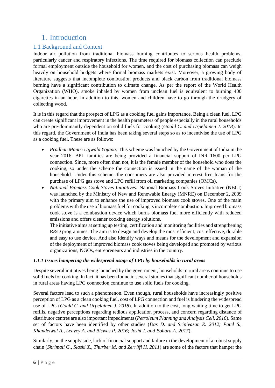# <span id="page-5-0"></span>1. Introduction

## <span id="page-5-1"></span>1.1 Background and Context

Indoor air pollution from traditional biomass burning contributes to serious health problems, particularly cancer and respiratory infections. The time required for biomass collection can preclude formal employment outside the household for women, and the cost of purchasing biomass can weigh heavily on household budgets where formal biomass markets exist. Moreover, a growing body of literature suggests that incomplete combustion products and black carbon from traditional biomass burning have a significant contribution to climate change. As per the report of the World Health Organization (WHO), smoke inhaled by women from unclean fuel is equivalent to burning 400 cigarettes in an hour. In addition to this, women and children have to go through the drudgery of collecting wood.

It is in this regard that the prospect of LPG as a cooking fuel gains importance. Being a clean fuel, LPG can create significant improvement in the health parameters of people especially in the rural households who are pre-dominantly dependent on solid fuels for cooking (*Gould C. and Urpelainen J. 2018*). In this regard, the Government of India has been taking several steps so as to incentivise the use of LPG as a cooking fuel. These are as follows:

- *Pradhan Mantri Ujjwala Yojana:* This scheme was launched by the Government of India in the year 2016. BPL families are being provided a financial support of INR 1600 per LPG connection. Since, more often than not, it is the female member of the household who does the cooking, so under the scheme the connection is issued in the name of the woman of the household. Under this scheme, the consumers are also provided interest free loans for the purchase of LPG gas stove and LPG refill from oil marketing companies (OMCs).
- *National Biomass Cook Stoves Initiatives:* National Biomass Cook Stoves Initiative (NBCI) was launched by the Ministry of New and Renewable Energy (MNRE) on December 2, 2009 with the primary aim to enhance the use of improved biomass cook stoves. One of the main problems with the use of biomass fuel for cooking is incomplete combustion. Improved biomass cook stove is a combustion device which burns biomass fuel more efficiently with reduced emissions and offers cleaner cooking energy solutions.

The initiative aims at setting up testing, certification and monitoring facilities and strengthening R&D programmes. The aim is to design and develop the most efficient, cost effective, durable and easy to use device. And also identify ways and means for the development and expansion of the deployment of improved biomass cook stoves being developed and promoted by various organizations, NGOs, entrepreneurs and industries in the country.

### *1.1.1 Issues hampering the widespread usage of LPG by households in rural areas*

Despite several initiatives being launched by the government, households in rural areas continue to use solid fuels for cooking. In fact, it has been found in several studies that significant number of households in rural areas having LPG connection continue to use solid fuels for cooking.

Several factors lead to such a phenomenon. Even though, rural households have increasingly positive perception of LPG as a clean cooking fuel, cost of LPG connection and fuel is hindering the widespread use of LPG (*Gould C. and Urpelainen J. 2018*). In addition to the cost, long waiting time to get LPG refills, negative perceptions regarding tedious application process, and concern regarding distance of distributor centres are also important impediments (*Petroleum Planning and Analysis Cell. 2016*). Same set of factors have been identified by other studies (*Das D. and Srinivasan R. 2012; Patel S., Khandelwal A., Leavey A. and Biswas P. 2016; Joshi J. and Bohara A. 2017*).

Similarly, on the supply side, lack of financial support and failure in the development of a robust supply chain (*Shrimali G., Slaski X., Thurber M. and Zerriffi H. 2011*) are some of the factors that hamper the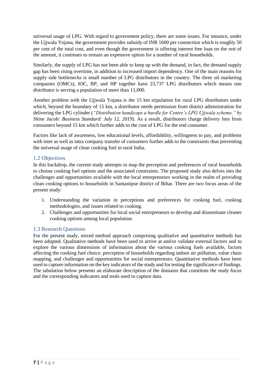universal usage of LPG. With regard to government policy, there are some issues. For instance, under the Ujjwala Yojana, the government provides subsidy of INR 1600 per connection which is roughly 50 per cent of the total cost, and even though the government is offering interest free loan on the rest of the amount, it continues to remain an expensive option for a number of rural households.

Similarly, the supply of LPG has not been able to keep up with the demand, in fact, the demand supply gap has been rising overtime, in addition to increased import dependency. One of the main reasons for supply side bottlenecks is small number of LPG distributors in the country. The three oil marketing companies (OMCs), IOC, BP, and HP together have 23,737 LPG distributors which means one distributor is serving a population of more than 11,000.

Another problem with the Ujjwala Yojana is the 15 km stipulation for rural LPG distributors under which, beyond the boundary of 15 km, a distributor needs permission from district administration for delivering the LPG cylinder (*"Distribution handicaps a hurdle for Centre's LPG Ujjwala scheme," by Shine Jacob: Business Standard: July 12, 2019*). As a result, distributors charge delivery fees from consumers beyond 15 km which further adds to the cost of LPG for the end consumer.

Factors like lack of awareness, low educational levels, affordability, willingness to pay, and problems with inter as well as intra company transfer of consumers further adds to the constraints thus preventing the universal usage of clean cooking fuel in rural India.

### <span id="page-6-0"></span>1.2 Objectives

In this backdrop, the current study attempts to map the perception and preferences of rural households to choose cooking fuel options and the associated constraints. The proposed study also delves into the challenges and opportunities available with the local entrepreneurs working in the realm of providing clean cooking options to households in Samastipur district of Bihar. There are two focus areas of the present study:

- 1. Understanding the variation in perceptions and preferences for cooking fuel, cooking methodologies, and issues related to cooking.
- 2. Challenges and opportunities for local social entrepreneurs to develop and disseminate cleaner cooking options among local population.

### <span id="page-6-1"></span>1.3 Research Questions

For the present study, mixed method approach comprising qualitative and quantitative methods has been adopted. Qualitative methods have been used to arrive at and/or validate external factors and to explore the various dimensions of information about the various cooking fuels available, factors affecting the cooking fuel choice, perception of households regarding indoor air pollution, value chain mapping, and challenges and opportunities for social entrepreneurs. Quantitative methods have been used to capture information on the key indicators of the study and for testing the significance of findings. The tabulation below presents an elaborate description of the domains that constitute the study focus and the corresponding indicators and tools used to capture data.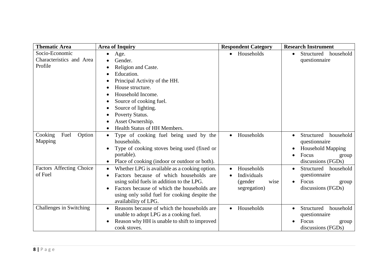| <b>Thematic Area</b>            | <b>Area of Inquiry</b>                                   | <b>Respondent Category</b> | <b>Research Instrument</b>           |
|---------------------------------|----------------------------------------------------------|----------------------------|--------------------------------------|
| Socio-Economic                  | Age.<br>$\bullet$                                        | Households                 | household<br>Structured<br>$\bullet$ |
| Characteristics and Area        | Gender.                                                  |                            | questionnaire                        |
| Profile                         | Religion and Caste.                                      |                            |                                      |
|                                 | Education.                                               |                            |                                      |
|                                 | Principal Activity of the HH.                            |                            |                                      |
|                                 | House structure.                                         |                            |                                      |
|                                 | Household Income.                                        |                            |                                      |
|                                 | Source of cooking fuel.                                  |                            |                                      |
|                                 | Source of lighting.                                      |                            |                                      |
|                                 | Poverty Status.<br>$\bullet$                             |                            |                                      |
|                                 | Asset Ownership.                                         |                            |                                      |
|                                 | Health Status of HH Members.                             |                            |                                      |
| Cooking<br>Fuel<br>Option       | Type of cooking fuel being used by the<br>$\bullet$      | Households<br>$\bullet$    | Structured<br>household<br>$\bullet$ |
| Mapping                         | households.                                              |                            | questionnaire                        |
|                                 | Type of cooking stoves being used (fixed or              |                            | <b>Household Mapping</b>             |
|                                 | portable).                                               |                            | Focus<br>group<br>$\bullet$          |
|                                 | Place of cooking (indoor or outdoor or both).            |                            | discussions (FGDs)                   |
| <b>Factors Affecting Choice</b> | Whether LPG is available as a cooking option.<br>٠       | Households                 | Structured<br>household<br>$\bullet$ |
| of Fuel                         | Factors because of which households are<br>$\bullet$     | Individuals                | questionnaire                        |
|                                 | using solid fuels in addition to the LPG.                | (gender<br>wise            | Focus<br>$\bullet$<br>group          |
|                                 | Factors because of which the households are              | segregation)               | discussions (FGDs)                   |
|                                 | using only solid fuel for cooking despite the            |                            |                                      |
|                                 | availability of LPG.                                     |                            |                                      |
| Challenges in Switching         | Reasons because of which the households are<br>$\bullet$ | Households                 | Structured<br>household<br>$\bullet$ |
|                                 | unable to adopt LPG as a cooking fuel.                   |                            | questionnaire                        |
|                                 | Reason why HH is unable to shift to improved             |                            | Focus<br>group                       |
|                                 | cook stoves.                                             |                            | discussions (FGDs)                   |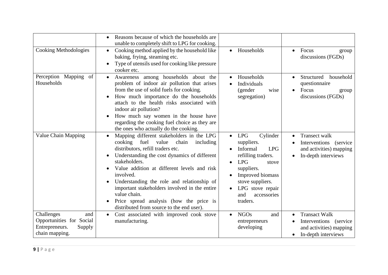|                                                                                             | Reasons because of which the households are<br>unable to completely shift to LPG for cooking.                                                                                                                                                                                                                                                                                                                                                                                                  |                                                                                                                                                                                                                                      |                                                                                                                             |
|---------------------------------------------------------------------------------------------|------------------------------------------------------------------------------------------------------------------------------------------------------------------------------------------------------------------------------------------------------------------------------------------------------------------------------------------------------------------------------------------------------------------------------------------------------------------------------------------------|--------------------------------------------------------------------------------------------------------------------------------------------------------------------------------------------------------------------------------------|-----------------------------------------------------------------------------------------------------------------------------|
| <b>Cooking Methodologies</b>                                                                | Cooking method applied by the household like<br>$\bullet$<br>baking, frying, steaming etc.<br>Type of utensils used for cooking like pressure<br>cooker etc.                                                                                                                                                                                                                                                                                                                                   | Households<br>$\bullet$                                                                                                                                                                                                              | Focus<br>$\bullet$<br>group<br>discussions (FGDs)                                                                           |
| Perception Mapping<br>of<br>Households                                                      | Awareness among households about the<br>$\bullet$<br>problem of indoor air pollution that arises<br>from the use of solid fuels for cooking.<br>How much importance do the households<br>attach to the health risks associated with<br>indoor air pollution?<br>How much say women in the house have<br>regarding the cooking fuel choice as they are<br>the ones who actually do the cooking.                                                                                                 | Households<br>Individuals<br>(gender<br>wise<br>segregation)                                                                                                                                                                         | Structured<br>household<br>$\bullet$<br>questionnaire<br>Focus<br>$\bullet$<br>group<br>discussions (FGDs)                  |
| Value Chain Mapping                                                                         | Mapping different stakeholders in the LPG<br>$\bullet$<br>fuel<br>value<br>cooking<br>chain<br>including<br>distributors, refill traders etc.<br>Understanding the cost dynamics of different<br>$\bullet$<br>stakeholders.<br>Value addition at different levels and risk<br>involved.<br>Understanding the role and relationship of<br>important stakeholders involved in the entire<br>value chain.<br>Price spread analysis (how the price is<br>distributed from source to the end user). | <b>LPG</b><br>Cylinder<br>$\bullet$<br>suppliers.<br>Informal<br><b>LPG</b><br>refilling traders.<br><b>LPG</b><br>stove<br>suppliers.<br>Improved biomass<br>stove suppliers.<br>LPG stove repair<br>and<br>accessories<br>traders. | <b>Transect walk</b><br>$\bullet$<br>Interventions (service<br>and activities) mapping<br>In-depth interviews<br>$\bullet$  |
| Challenges<br>and<br>Opportunities for Social<br>Entrepreneurs.<br>Supply<br>chain mapping. | Cost associated with improved cook stove<br>manufacturing.                                                                                                                                                                                                                                                                                                                                                                                                                                     | <b>NGOs</b><br>and<br>entrepreneurs<br>developing                                                                                                                                                                                    | <b>Transact Walk</b><br>$\bullet$<br>Interventions (service)<br>and activities) mapping<br>In-depth interviews<br>$\bullet$ |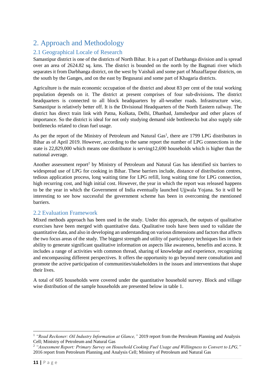# <span id="page-10-0"></span>2. Approach and Methodology

# <span id="page-10-1"></span>2.1 Geographical Locale of Research

Samastipur district is one of the districts of North Bihar. It is a part of Darbhanga division and is spread over an area of 2624.82 sq. kms. The district is bounded on the north by the Bagmati river which separates it from Darbhanga district, on the west by Vaishali and some part of Muzaffarpur districts, on the south by the Ganges, and on the east by Begusarai and some part of Khagaria districts.

Agriculture is the main economic occupation of the district and about 83 per cent of the total working population depends on it. The district at present comprises of four sub-divisions**.** The district headquarters is connected to all block headquarters by all-weather roads. Infrastructure wise, Samastipur is relatively better off. It is the Divisional Headquarters of the North Eastern railway. The district has direct train link with Patna, Kolkata, Delhi, Dhanbad, Jamshedpur and other places of importance. So the district is ideal for not only studying demand side bottlenecks but also supply side bottlenecks related to clean fuel usage.

As per the report of the Ministry of Petroleum and Natural Gas<sup>1</sup>, there are 1799 LPG distributors in Bihar as of April 2019. However, according to the same report the number of LPG connections in the state is 22,829,000 which means one distributor is serving12,690 households which is higher than the national average.

Another assessment report<sup>2</sup> by Ministry of Petroleum and Natural Gas has identified six barriers to widespread use of LPG for cooking in Bihar. These barriers include, distance of distribution centres, tedious application process, long waiting time for LPG refill, long waiting time for LPG connection, high recurring cost, and high initial cost. However, the year in which the report was released happens to be the year in which the Government of India eventually launched Ujjwala Yojana. So it will be interesting to see how successful the government scheme has been in overcoming the mentioned barriers.

### <span id="page-10-2"></span>2.2 Evaluation Framework

Mixed methods approach has been used in the study. Under this approach, the outputs of qualitative exercises have been merged with quantitative data. Qualitative tools have been used to validate the quantitative data, and also in developing an understanding on various dimensions and factors that affects the two focus areas of the study. The biggest strength and utility of participatory techniques lies in their ability to generate significant qualitative information on aspects like awareness, benefits and access. It includes a range of activities with common thread, sharing of knowledge and experience, recognizing and encompassing different perspectives. It offers the opportunity to go beyond mere consultation and promote the active participation of communities/stakeholders in the issues and interventions that shape their lives.

A total of 605 households were covered under the quantitative household survey. Block and village wise distribution of the sample households are presented below in table 1.

**.** 

<sup>1</sup> *"Read Reckoner: Oil Industry Information at Glance,"* 2019 report from the Petroleum Planning and Analysis Cell; Ministry of Petroleum and Natural Gas

<sup>2</sup> *"Assessment Report: Primary Survey on Household Cooking Fuel Usage and Willingness to Convert to LPG,"*  2016 report from Petroleum Planning and Analysis Cell; Ministry of Petroleum and Natural Gas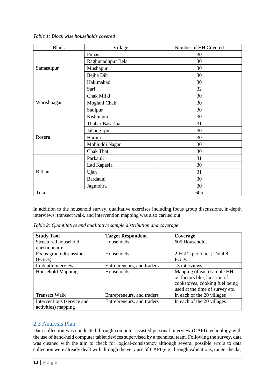| <b>Block</b>  | Village           | Number of HH Covered |
|---------------|-------------------|----------------------|
|               | Punas             | 30                   |
|               | Raghunadhpur Bela | 30                   |
| Samastipur    | Mushapur          | 30                   |
|               | Bejha Dih         | 30                   |
|               | Hakimabad         | 30                   |
|               | Sari              | 32                   |
|               | Chak Milki        | 30                   |
| Warishnagar   | Moglani Chak      | 30                   |
|               | Sadipur           | 30                   |
|               | Kishunpur         | 30                   |
|               | Thahar Basarhia   | 31                   |
|               | Jahangirpur       | 30                   |
| Rosera        | Harpur            | 30                   |
|               | Mohiuddi Nagar    | 30                   |
|               | <b>Chak That</b>  | 30                   |
|               | Parkauli          | 31                   |
| <b>Bithan</b> | Lad Kapasia       | 30                   |
|               | Ujan              | 31                   |
|               | Bardauni          | 30                   |
|               | Jagmohra          | 30                   |
| Total         |                   | 605                  |

<span id="page-11-1"></span>*Table 1: Block wise households covered* 

In addition to the household survey, qualitative exercises including focus group discussions, in-depth interviews, transect walk, and intervention mapping was also carried out.

<span id="page-11-2"></span>

| Table 2: Quantitative and qualitative sample distribution and coverage |  |  |
|------------------------------------------------------------------------|--|--|
|                                                                        |  |  |

| <b>Study Tool</b>                                 | <b>Target Respondent</b>   | Coverage                                                                                                                       |
|---------------------------------------------------|----------------------------|--------------------------------------------------------------------------------------------------------------------------------|
| Structured household                              | Households                 | 605 Households                                                                                                                 |
| questionnaire                                     |                            |                                                                                                                                |
| Focus group discussions                           | Households                 | 2 FGDs per block; Total 8                                                                                                      |
| (FGDs)                                            |                            | <b>FGDs</b>                                                                                                                    |
| In-depth interviews                               | Entrepreneurs, and traders | 13 interviews                                                                                                                  |
| <b>Household Mapping</b>                          | Households                 | Mapping of each sample HH<br>on factors like, location of<br>cookstoves, cooking fuel being<br>used at the time of survey etc. |
| <b>Transect Walk</b>                              | Entrepreneurs, and traders | In each of the 20 villages                                                                                                     |
| Interventions (service and<br>activities) mapping | Entrepreneurs, and traders | In each of the 20 villages                                                                                                     |

## <span id="page-11-0"></span>2.3 Analysis Plan

Data collection was conducted through computer assisted personal interview (CAPI) technology with the use of hand-held computer tablet devices supervised by a technical team. Following the survey, data was cleaned with the aim to check for logical-consistency although several possible errors to data collection were already dealt with through the very use of CAPI (e.g. through validations, range checks,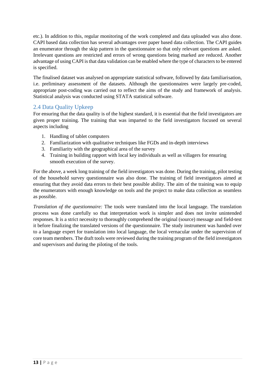etc.). In addition to this, regular monitoring of the work completed and data uploaded was also done. CAPI based data collection has several advantages over paper based data collection. The CAPI guides an enumerator through the skip pattern in the questionnaire so that only relevant questions are asked. Irrelevant questions are restricted and errors of wrong questions being marked are reduced. Another advantage of using CAPI is that data validation can be enabled where the type of characters to be entered is specified.

The finalised dataset was analysed on appropriate statistical software, followed by data familiarisation, i.e. preliminary assessment of the datasets. Although the questionnaires were largely pre-coded, appropriate post-coding was carried out to reflect the aims of the study and framework of analysis. Statistical analysis was conducted using STATA statistical software.

## <span id="page-12-0"></span>2.4 Data Quality Upkeep

For ensuring that the data quality is of the highest standard, it is essential that the field investigators are given proper training. The training that was imparted to the field investigators focused on several aspects including

- 1. Handling of tablet computers
- 2. Familiarization with qualitative techniques like FGDs and in-depth interviews
- 3. Familiarity with the geographical area of the survey
- 4. Training in building rapport with local key individuals as well as villagers for ensuring smooth execution of the survey.

For the above, a week long training of the field investigators was done. During the training, pilot testing of the household survey questionnaire was also done. The training of field investigators aimed at ensuring that they avoid data errors to their best possible ability. The aim of the training was to equip the enumerators with enough knowledge on tools and the project to make data collection as seamless as possible.

*Translation of the questionnaire:* The tools were translated into the local language. The translation process was done carefully so that interpretation work is simpler and does not invite unintended responses. It is a strict necessity to thoroughly comprehend the original (source) message and field-test it before finalizing the translated versions of the questionnaire. The study instrument was handed over to a language expert for translation into local language, the local vernacular under the supervision of core team members. The draft tools were reviewed during the training program of the field investigators and supervisors and during the piloting of the tools.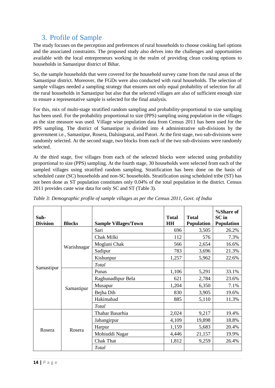# 3. Profile of Sample

<span id="page-13-0"></span>The study focuses on the perception and preferences of rural households to choose cooking fuel options and the associated constraints. The proposed study also delves into the challenges and opportunities available with the local entrepreneurs working in the realm of providing clean cooking options to households in Samastipur district of Bihar.

So, the sample households that were covered for the household survey came from the rural areas of the Samastipur district. Moreover, the FGDs were also conducted with rural households. The selection of sample villages needed a sampling strategy that ensures not only equal probability of selection for all the rural households in Samastipur but also that the selected villages are also of sufficient enough size to ensure a representative sample is selected for the final analysis.

For this, mix of multi-stage stratified random sampling and probability-proportional to size sampling has been used. For the probability proportional to size (PPS) sampling using population in the villages as the size measure was used. Village wise population data from Census 2011 has been used for the PPS sampling. The district of Samastipur is divided into 4 administrative sub-divisions by the government i.e., Samastipur, Rosera, Dalsingsarai, and Patori. At the first stage, two sub-divisions were randomly selected. At the second stage, two blocks from each of the two sub-divisions were randomly selected.

At the third stage, five villages from each of the selected blocks were selected using probability proportional to size (PPS) sampling. At the fourth stage, 30 households were selected from each of the sampled villages using stratified random sampling. Stratification has been done on the basis of scheduled caste (SC) households and non-SC households. Stratification using scheduled tribe (ST) has not been done as ST population constitutes only 0.04% of the total population in the district. Census 2011 provides caste wise data for only SC and ST (Table 3).

| Sub-<br><b>Division</b> | <b>Blocks</b> | <b>Sample Villages/Town</b> | <b>Total</b><br><b>HH</b> | <b>Total</b><br>Population | %Share of<br><b>SC</b> in<br><b>Population</b> |
|-------------------------|---------------|-----------------------------|---------------------------|----------------------------|------------------------------------------------|
|                         |               | Sari                        | 696                       | 3,505                      | 26.2%                                          |
|                         |               | Chak Milki                  | 112                       | 576                        | 7.3%                                           |
|                         | Warishnagar   | Moglani Chak                | 566                       | 2,654                      | 16.6%                                          |
|                         |               | Sadipur                     | 783                       | 3,696                      | 21.3%                                          |
|                         |               | Kishunpur                   | 1,257                     | 5,962                      | 22.6%                                          |
| Samastipur              |               | Total                       |                           |                            |                                                |
|                         | Samastipur    | Punas                       | 1,106                     | 5,291                      | 33.1%                                          |
|                         |               | Raghunadhpur Bela           | 621                       | 2,784                      | 23.6%                                          |
|                         |               | Musapur                     | 1,204                     | 6,350                      | 7.1%                                           |
|                         |               | Bejha Dih                   | 830                       | 3,905                      | 19.6%                                          |
|                         |               | Hakimabad                   | 885                       | 5,110                      | 11.3%                                          |
|                         |               | <b>Total</b>                |                           |                            |                                                |
|                         |               | Thahar Basarhia             | 2,024                     | 9,217                      | 19.4%                                          |
| Rosera                  |               | Jahangirpur                 | 4,109                     | 19,898                     | 18.8%                                          |
|                         | Rosera        | Harpur                      | 1,159                     | 5,683                      | 20.4%                                          |
|                         |               | Mohiuddi Nagar              | 4,446                     | 21,157                     | 19.9%                                          |
|                         |               | <b>Chak That</b>            | 1,812                     | 9,259                      | 26.4%                                          |
|                         |               | Total                       |                           |                            |                                                |

<span id="page-13-1"></span>*Table 3: Demographic profile of sample villages as per the Census 2011, Govt. of India*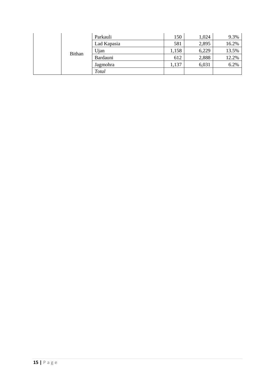| <b>Bithan</b> | Parkauli    | 150   | 1,024 | 9.3%  |
|---------------|-------------|-------|-------|-------|
|               | Lad Kapasia | 581   | 2,895 | 16.2% |
|               | Ujan        | 1,158 | 6,229 | 13.5% |
|               | Bardauni    | 612   | 2,888 | 12.2% |
|               | Jagmohra    | 1,137 | 6,031 | 6.2%  |
|               | Total       |       |       |       |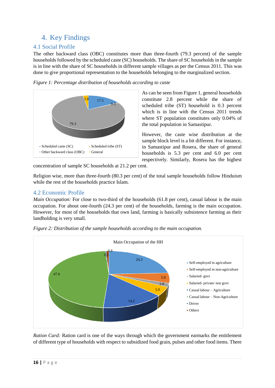# <span id="page-15-0"></span>4. Key Findings

### <span id="page-15-1"></span>4.1 Social Profile

The other backward class (OBC) constitutes more than three-fourth (79.3 percent) of the sample households followed by the scheduled caste (SC) households. The share of SC households in the sample is in line with the share of SC households in different sample villages as per the Census 2011. This was done to give proportional representation to the households belonging to the marginalized section.

<span id="page-15-3"></span>



As can be seen from Figure 1, general households constitute 2.8 percent while the share of scheduled tribe (ST) household is 0.3 percent which is in line with the Census 2011 trends where ST population constitutes only 0.04% of the total population in Samastipur.

However, the caste wise distribution at the sample block level is a bit different. For instance, in Samastipur and Rosera, the share of general households is 5.3 per cent and 6.0 per cent respectively. Similarly, Rosera has the highest

concentration of sample SC households at 21.2 per cent.

Religion wise, more than three-fourth (80.3 per cent) of the total sample households follow Hinduism while the rest of the households practice Islam.

### <span id="page-15-2"></span>4.2 Economic Profile

*Main Occupation:* For close to two-third of the households (61.8 per cent), casual labour is the main occupation. For about one-fourth (24.3 per cent) of the households, farming is the main occupation. However, for most of the households that own land, farming is basically subsistence farming as their landholding is very small.



<span id="page-15-4"></span>*Figure 2: Distribution of the sample households according to the main occupation.*

*Ration Card:* Ration card is one of the ways through which the government earmarks the entitlement of different type of households with respect to subsidized food grain, pulses and other food items. There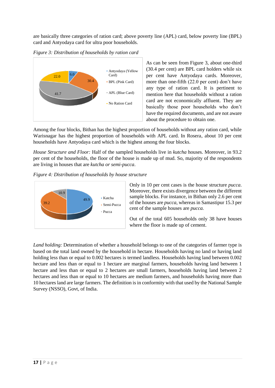are basically three categories of ration card; above poverty line (APL) card, below poverty line (BPL) card and Antyodaya card for ultra poor households.



<span id="page-16-0"></span>*Figure 3: Distribution of households by ration card* 

As can be seen from Figure 3, about one-third (30.4 per cent) are BPL card holders while six per cent have Antyodaya cards. Moreover, more than one-fifth (22.0 per cent) don't have any type of ration card. It is pertinent to mention here that households without a ration card are not economically affluent. They are basically those poor households who don't have the required documents, and are not aware about the procedure to obtain one.

Among the four blocks, Bithan has the highest proportion of households without any ration card, while Warisnagar has the highest proportion of households with APL card. In Rosera, about 10 per cent households have Antyodaya card which is the highest among the four blocks.

*House Structure and Floor:* Half of the sampled households live in *kutcha* houses. Moreover, in 93.2 per cent of the households, the floor of the house is made up of mud. So, majority of the respondents are living in houses that are *kutcha or semi-pucca*.

<span id="page-16-1"></span>



Only in 10 per cent cases is the house structure *pucca*. Moreover, there exists divergence between the different sample blocks. For instance, in Bithan only 2.6 per cent of the houses are *pucca*, whereas in Samastipur 15.3 per cent of the sample houses are *pucca.*

Out of the total 605 households only 38 have houses where the floor is made up of cement.

*Land holding:* Determination of whether a household belongs to one of the categories of farmer type is based on the total land owned by the household in hectare. Households having no land or having land holding less than or equal to 0.002 hectares is termed landless. Households having land between 0.002 hectare and less than or equal to 1 hectare are marginal farmers, households having land between 1 hectare and less than or equal to 2 hectares are small farmers, households having land between 2 hectares and less than or equal to 10 hectares are medium farmers, and households having more than 10 hectares land are large farmers. The definition is in conformity with that used by the National Sample Survey (NSSO), Govt, of India.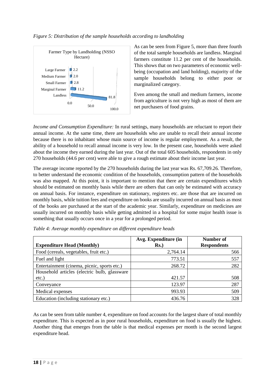#### <span id="page-17-1"></span>*Figure 5: Distribution of the sample households according to landholding*



As can be seen from Figure 5, more than three fourth of the total sample households are landless. Marginal farmers constitute 11.2 per cent of the households. This shows that on two parameters of economic wellbeing (occupation and land holding), majority of the sample households belong to either poor or marginalized category.

Even among the small and medium farmers, income from agriculture is not very high as most of them are net purchasers of food grains.

*Income and Consumption Expenditure:* In rural settings, many households are reluctant to report their annual income. At the same time, there are households who are unable to recall their annual income because there is no inhabitant whose main source of income is regular employment. As a result, the ability of a household to recall annual income is very low. In the present case, households were asked about the income they earned during the last year. Out of the total 605 households, respondents in only 270 households (44.6 per cent) were able to give a rough estimate about their income last year.

The average income reported by the 270 households during the last year was Rs. 67,709.26. Therefore, to better understand the economic condition of the households, consumption pattern of the households was also mapped. At this point, it is important to mention that there are certain expenditures which should be estimated on monthly basis while there are others that can only be estimated with accuracy on annual basis. For instance, expenditure on stationary, registers etc. are those that are incurred on monthly basis, while tuition fees and expenditure on books are usually incurred on annual basis as most of the books are purchased at the start of the academic year. Similarly, expenditure on medicines are usually incurred on monthly basis while getting admitted in a hospital for some major health issue is something that usually occurs once in a year for a prolonged period.

| <b>Expenditure Head (Monthly)</b>            | Avg. Expenditure (in<br>$Rs.$ ) | <b>Number of</b><br><b>Respondents</b> |
|----------------------------------------------|---------------------------------|----------------------------------------|
|                                              |                                 |                                        |
| Food (cereals, vegetables, fruit etc.)       | 2,764.14                        | 566                                    |
| Fuel and light                               | 773.51                          | 557                                    |
| Entertainment (cinema, picnic, sports etc.)  | 268.72                          | 282                                    |
| Household articles (electric bulb, glassware |                                 |                                        |
| $etc.$ )                                     | 421.57                          | 508                                    |
| Conveyance                                   | 123.97                          | 287                                    |
| Medical expenses                             | 993.93                          | 509                                    |
| Education (including stationary etc.)        | 436.76                          | 328                                    |

<span id="page-17-0"></span>*Table 4: Average monthly expenditure on different expenditure heads*

As can be seen from table number 4, expenditure on food accounts for the largest share of total monthly expenditure. This is expected as in poor rural households, expenditure on food is usually the highest. Another thing that emerges from the table is that medical expenses per month is the second largest expenditure head.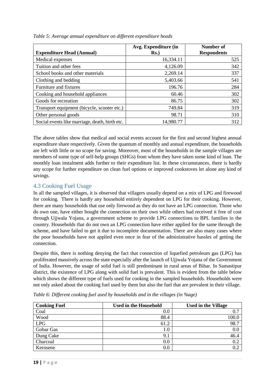| <b>Expenditure Head (Annual)</b>               | Avg. Expenditure (in<br>$Rs.$ ) | Number of<br><b>Respondents</b> |
|------------------------------------------------|---------------------------------|---------------------------------|
| Medical expenses                               | 16,334.11                       | 525                             |
| Tuition and other fees                         | 4,126.09                        | 342                             |
| School books and other materials               | 2,269.14                        | 337                             |
| Clothing and bedding                           | 5,403.66                        | 541                             |
| Furniture and fixtures                         | 196.76                          | 284                             |
| Cooking and household appliances               | 60.46                           | 302                             |
| Goods for recreation                           | 86.75                           | 302                             |
| Transport equipment (bicycle, scooter etc.)    | 749.84                          | 319                             |
| Other personal goods                           | 98.71                           | 310                             |
| Social events like marriage, death, birth etc. | 14,980.77                       | 312                             |

<span id="page-18-1"></span>*Table 5: Average annual expenditure on different expenditure heads*

The above tables show that medical and social events account for the first and second highest annual expenditure share respectively. Given the quantum of monthly and annual expenditure, the households are left with little or no scope for saving. Moreover, most of the households in the sample villages are members of some type of self-help groups (SHGs) from whom they have taken some kind of loan. The monthly loan instalment adds further to their expenditure list. In these circumstances, there is hardly any scope for further expenditure on clean fuel options or improved cookstoves let alone any kind of savings.

### <span id="page-18-0"></span>4.3 Cooking Fuel Usage

In all the sampled villages, it is observed that villagers usually depend on a mix of LPG and firewood for cooking. There is hardly any household entirely dependent on LPG for their cooking. However, there are many households that use only firewood as they do not have an LPG connection. Those who do own one, have either bought the connection on their own while others had received it free of cost through Ujjwala Yojana, a government scheme to provide LPG connections to BPL families in the country. Households that do not own an LPG connection have either applied for the same through the scheme, and have failed to get it due to incomplete documentation. There are also many cases where the poor households have not applied even once in fear of the administrative hassles of getting the connection.

Despite this, there is nothing denying the fact that connection of liquefied petroleum gas (LPG) has proliferated massively across the state especially after the launch of Ujjwala Yojana of the Government of India. However, the usage of solid fuel is still predominant in rural areas of Bihar. In Samastipur district, the existence of LPG along with solid fuel is prevalent. This is evident from the table below which shows the different type of fuels used for cooking in the sampled households. Households were not only asked about the cooking fuel used by them but also the fuel that are prevalent in their village.

| <b>Cooking Fuel</b> | <b>Used in the Household</b> | <b>Used in the Village</b> |
|---------------------|------------------------------|----------------------------|
| Coal                | 0.0                          |                            |
| Wood                | 88.4                         | 100.0                      |
| <b>LPG</b>          | 61.2                         | 98.7                       |
| Gobar Gas           | $1.0\,$                      | 0.0                        |
| Dung Cake           | 9.1                          | 46.4                       |
| Charcoal            | 0.0                          | 0.2                        |
| Kerosene            | $0.0\,$                      | 0.2                        |

<span id="page-18-2"></span>*Table 6: Different cooking fuel used by households and in the villages (in %age)*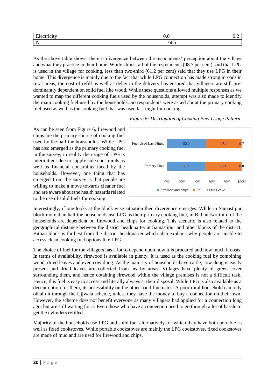| ____ | ∪.∪ |        |
|------|-----|--------|
|      |     | $\sim$ |

As the above table shows, there is divergence between the respondents' perception about the village and what they practice in their home. While almost all of the respondents (98.7 per cent) said that LPG is used in the village for cooking, less than two-third (61.2 per cent) said that they use LPG in their home. This divergence is mainly due to the fact that while LPG connection has made strong inroads in rural areas, the cost of refill as well as delay in the delivery has ensured that villagers are still predominantly dependent on solid fuel like wood. While these questions allowed multiple responses as we wanted to map the different cooking fuels used by the households, attempt was also made to identify the main cooking fuel used by the households. So respondents were asked about the primary cooking fuel used as well as the cooking fuel that was used last night for cooking.

> 50.7 52.2 48.4 47.1 0% 20% 40% 60% 80% 100% Primary Fuel Fuel Used Last Night Firewood and chips  $\Box$  LPG  $\Box$  Dung cake

 $0.8$ 

 $0<sub>7</sub>$ 

As can be seen from Figure 6, firewood and chips are the primary source of cooking fuel used by the half the households. While LPG has also emerged as the primary cooking fuel in the survey, in reality the usage of LPG is intermittent due to supply side constraints as well as financial constraints faced by the households. However, one thing that has emerged from the survey is that people are willing to make a move towards cleaner fuel and are aware about the health hazards related to the use of solid fuels for cooking.

Interestingly, if one looks at the block wise situation then divergence emerges. While in Samastipur block more than half the households use LPG as their primary cooking fuel, in Bithan two-third of the households are dependent on firewood and chips for cooking. This scenario is also related to the geographical distance between the district headquarter at Samastipur and other blocks of the district. Bithan block is farthest from the district headquarter which also explains why people are unable to access clean cooking fuel options like LPG.

The choice of fuel for the villagers has a lot to depend upon how it is procured and how much it costs. In terms of availability, firewood is available in plenty. It is used as the cooking fuel by combining wood, dried leaves and even cow dung. As the majority of households have cattle, cow dung is easily present and dried leaves are collected from nearby areas. Villages have plenty of green cover surrounding them, and hence obtaining firewood within the village premises is not a difficult task. Hence, this fuel is easy to access and literally always at their disposal. While LPG is also available as a decent option for them, its accessibility on the other hand fluctuates. A poor rural household can only obtain it through the Ujjwala scheme, unless they have the money to buy a connection on their own. However, the scheme does not benefit everyone as many villagers had applied for a connection long ago, but are still waiting for it. Even those who have a connection need to go through a lot of hassle to get the cylinders refilled.

Majority of the households use LPG and solid fuel alternatively for which they have both portable as well as fixed cookstoves. While portable cookstoves are mainly the LPG cookstoves, fixed cookstoves are made of mud and are used for firewood and chips.

# <span id="page-19-0"></span> *Figure 6: Distribution of Cooking Fuel Usage Pattern*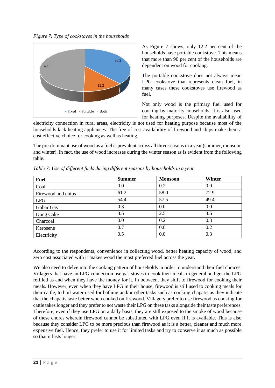<span id="page-20-1"></span>*Figure 7: Type of cookstoves in the households*



As Figure 7 shows, only 12.2 per cent of the households have portable cookstove. This means that more than 90 per cent of the households are dependent on wood for cooking.

The portable cookstove does not always mean LPG cookstove that represents clean fuel, in many cases these cookstoves use firewood as fuel.

Not only wood is the primary fuel used for cooking by majority households, it is also used for heating purposes. Despite the availability of

electricity connection in rural areas, electricity is not used for heating purpose because most of the households lack heating appliances. The free of cost availability of firewood and chips make them a cost effective choice for cooking as well as heating.

The pre-dominant use of wood as a fuel is prevalent across all three seasons in a year (summer, monsoon and winter). In fact, the use of wood increases during the winter season as is evident from the following table.

| <b>Fuel</b>        | <b>Summer</b> | <b>Monsoon</b> | <b>Winter</b> |
|--------------------|---------------|----------------|---------------|
| Coal               | 0.0           | 0.2            | 0.0           |
| Firewood and chips | 61.2          | 58.0           | 72.9          |
| <b>LPG</b>         | 54.4          | 57.5           | 49.4          |
| Gobar Gas          | 0.3           | 0.0            | 0.0           |
| Dung Cake          | 3.5           | 2.5            | 3.6           |
| Charcoal           | 0.0           | 0.2            | 0.3           |
| Kerosene           | 0.7           | 0.0            | 0.2           |
| Electricity        | 0.5           | 0.0            | 0.3           |

<span id="page-20-0"></span>*Table 7: Use of different fuels during different seasons by households in a year* 

According to the respondents, convenience in collecting wood, better heating capacity of wood, and zero cost associated with it makes wood the most preferred fuel across the year.

We also need to delve into the cooking pattern of households in order to understand their fuel choices. Villagers that have an LPG connection use gas stoves to cook their meals in general and get the LPG refilled as and when they have the money for it. In between, they shift to firewood for cooking their meals. However, even when they have LPG in their house, firewood is still used to cooking meals for their cattle, to boil water used for bathing and/or other tasks such as cooking chapatis as they indicate that the chapatis taste better when cooked on firewood. Villagers prefer to use firewood as cooking for cattle takes longer and they prefer to not waste their LPG on these tasks alongside their taste preferences. Therefore, even if they use LPG on a daily basis, they are still exposed to the smoke of wood because of these chores wherein firewood cannot be substituted with LPG even if it is available. This is also because they consider LPG to be more precious than firewood as it is a better, cleaner and much more expensive fuel. Hence, they prefer to use it for limited tasks and try to conserve it as much as possible so that it lasts longer.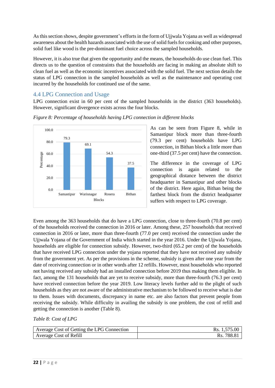As this section shows, despite government's efforts in the form of Ujjwala Yojana as well as widespread awareness about the health hazards associated with the use of solid fuelsfor cooking and other purposes, solid fuel like wood is the pre-dominant fuel choice across the sampled households.

However, it is also true that given the opportunity and the means, the households do use clean fuel. This directs us to the question of constraints that the households are facing in making an absolute shift to clean fuel as well as the economic incentives associated with the solid fuel. The next section details the status of LPG connection in the sampled households as well as the maintenance and operating cost incurred by the households for continued use of the same.

## <span id="page-21-0"></span>4.4 LPG Connection and Usage

LPG connection exist in 60 per cent of the sampled households in the district (363 households). However, significant divergence exists across the four blocks.



<span id="page-21-2"></span>*Figure 8: Percentage of households having LPG connection in different blocks*

As can be seen from Figure 8, while in Samastipur block more than three-fourth (79.3 per cent) households have LPG connection, in Bithan block a little more than one-third (37.5 per cent) have the connection.

The difference in the coverage of LPG connection is again related to the geographical distance between the district headquarter in Samastipur and other blocks of the district. Here again, Bithan being the farthest block from the district headquarter suffers with respect to LPG coverage.

Even among the 363 households that do have a LPG connection, close to three-fourth (70.8 per cent) of the households received the connection in 2016 or later. Among these, 257 households that received connection in 2016 or later, more than three-fourth (77.0 per cent) received the connection under the Ujjwala Yojana of the Government of India which started in the year 2016. Under the Ujjwala Yojana, households are eligible for connection subsidy. However, two-third (65.2 per cent) of the households that have received LPG connection under the yojana reported that they have not received any subsidy from the government yet. As per the provisions in the scheme, subsidy is given after one year from the date of receiving connection or in other words after 12 refills. However, most households who reported not having received any subsidy had an installed connection before 2019 thus making them eligible. In fact, among the 131 households that are yet to receive subsidy, more than three-fourth (76.3 per cent) have received connection before the year 2019. Low literacy levels further add to the plight of such households as they are not aware of the administrative mechanism to be followed to receive what is due to them. Issues with documents, discrepancy in name etc. are also factors that prevent people from receiving the subsidy. While difficulty in availing the subsidy is one problem, the cost of refill and getting the connection is another (Table 8).

### <span id="page-21-1"></span>*Table 8: Cost of LPG*

| Average Cost of Getting the LPG Connection | Rs. 1,575.00 |
|--------------------------------------------|--------------|
| Average Cost of Refill                     | 788.8<br>Rs. |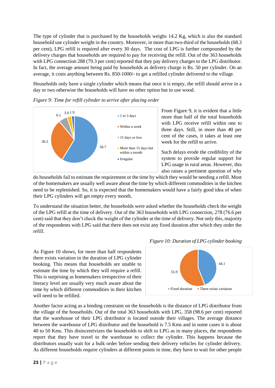The type of cylinder that is purchased by the households weighs 14.2 Kg, which is also the standard household use cylinder weight in the country. Moreover, in more than two-third of the households (68.3 per cent), LPG refill is required after every 30 days. The cost of LPG is further compounded by the delivery charges that households are required to pay for receiving the refill. Out of the 363 households with LPG connection 288 (79.3 per cent) reported that they pay delivery charges to the LPG distributor. In fact, the average amount being paid by households as delivery charge is Rs. 50 per cylinder. On an average, it costs anything between Rs. 850-1000/- to get a refilled cylinder delivered to the village.

Households only have a single cylinder which means that once it is empty, the refill should arrive in a day or two otherwise the households will have no other option but to use wood.



### <span id="page-22-0"></span>*Figure 9: Time for refill cylinder to arrive after placing order*

From Figure 9, it is evident that a little more than half of the total households with LPG receive refill within one to three days. Still, in more than 40 per cent of the cases, it takes at least one week for the refill to arrive.

Such delays erode the credibility of the system to provide regular support for LPG usage in rural areas. However, this also raises a pertinent question of why

do households fail to estimate the requirement or the time by which they would be needing a refill. Most of the homemakers are usually well aware about the time by which different commodities in the kitchen need to be replenished. So, it is expected that the homemakers would have a fairly good idea of when their LPG cylinders will get empty every month.

To understand the situation better, the households were asked whether the households check the weight of the LPG refill at the time of delivery. Out of the 363 households with LPG connection, 278 (76.6 per cent) said that they don't check the weight of the cylinder at the time of delivery. Not only this, majority of the respondents with LPG said that there does not exist any fixed duration after which they order the refill.

As Figure 10 shows, for more than half respondents there exists variation in the duration of LPG cylinder booking. This means that households are unable to estimate the time by which they will require a refill. This is surprising as homemakers irrespective of their literacy level are usually very much aware about the time by which different commodities in their kitchen will need to be refilled.

<span id="page-22-1"></span>

Another factor acting as a binding constraint on the households is the distance of LPG distributor from the village of the households. Out of the total 363 households with LPG, 358 (98.6 per cent) reported that the warehouse of their LPG distributor is located outside their villages. The average distance between the warehouse of LPG distributor and the household is 7.5 Kms and in some cases it is about 40 to 50 Kms. This disincentivizes the households to shift to LPG as in many places, the respondents report that they have travel to the warehouse to collect the cylinder. This happens because the distributors usually wait for a bulk order before sending their delivery vehicles for cylinder delivery. As different households require cylinders at different points in time, they have to wait for other people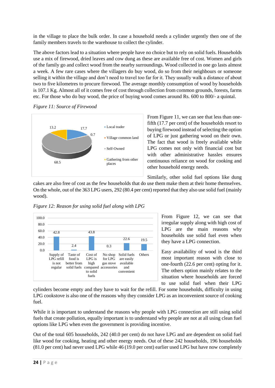in the village to place the bulk order. In case a household needs a cylinder urgently then one of the family members travels to the warehouse to collect the cylinder.

The above factors lead to a situation where people have no choice but to rely on solid fuels. Households use a mix of firewood, dried leaves and cow dung as these are available free of cost. Women and girls of the family go and collect wood from the nearby surroundings. Wood collected in one go lasts almost a week. A few rare cases where the villagers do buy wood, do so from their neighbours or someone selling it within the village and don't need to travel too far for it. They usually walk a distance of about two to five kilometres to procure firewood. The average monthly consumption of wood by households is 107.1 Kg. Almost all of it comes free of cost through collection from common grounds, forests, farms etc. For those who do buy wood, the price of buying wood comes around Rs. 600 to 800/- a quintal.

<span id="page-23-0"></span>



From Figure 11, we can see that less than onefifth (17.7 per cent) of the households resort to buying firewood instead of selecting the option of LPG or just gathering wood on their own. The fact that wood is freely available while LPG comes not only with financial cost but with other administrative hassles ensures continuous reliance on wood for cooking and other household energy needs*.* 

Similarly, other solid fuel options like dung

cakes are also free of cost as the few households that do use them make them at their home themselves. On the whole, out of the 363 LPG users, 292 (80.4 per cent) reported that they also use solid fuel (mainly wood).



<span id="page-23-1"></span>*Figure 12: Reason for using solid fuel along with LPG*

From Figure 12, we can see that irregular supply along with high cost of LPG are the main reasons why households use solid fuel even when they have a LPG connection.

Easy availability of wood is the third most important reason with close to one-fourth (22.6 per cent) opting for it. The others option mainly relates to the situation where households are forced to use solid fuel when their LPG

cylinders become empty and they have to wait for the refill. For some households, difficulty in using LPG cookstove is also one of the reasons why they consider LPG as an inconvenient source of cooking fuel.

While it is important to understand the reasons why people with LPG connection are still using solid fuels that create pollution, equally important is to understand why people are not at all using clean fuel options like LPG when even the government is providing incentive.

Out of the total 605 households, 242 (40.0 per cent) do not have LPG and are dependent on solid fuel like wood for cooking, heating and other energy needs. Out of these 242 households, 196 households (81.0 per cent) had never used LPG while 46 (19.0 per cent) earlier used LPG but have now completely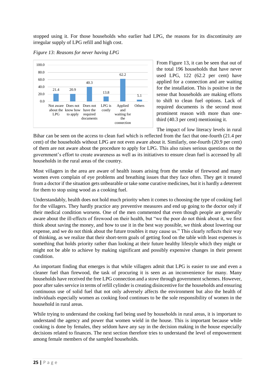stopped using it. For those households who earlier had LPG, the reasons for its discontinuity are irregular supply of LPG refill and high cost.



#### <span id="page-24-0"></span>*Figure 13: Reasons for never having LPG*

From Figure 13, it can be seen that out of the total 196 households that have never used LPG, 122 (62.2 per cent) have applied for a connection and are waiting for the installation. This is positive in the sense that households are making efforts to shift to clean fuel options. Lack of required documents is the second most prominent reason with more than onethird (40.3 per cent) mentioning it.

The impact of low literacy levels in rural

Bihar can be seen on the access to clean fuel which is reflected from the fact that one-fourth (21.4 per cent) of the households without LPG are not even aware about it. Similarly, one-fourth (20.9 per cent) of them are not aware about the procedure to apply for LPG. This also raises serious questions on the government's effort to create awareness as well as its initiatives to ensure clean fuel is accessed by all households in the rural areas of the country.

Most villagers in the area are aware of health issues arising from the smoke of firewood and many women even complain of eye problems and breathing issues that they face often. They get it treated from a doctor if the situation gets unbearable or take some curative medicines, but it is hardly a deterrent for them to stop using wood as a cooking fuel.

Understandably, health does not hold much priority when it comes to choosing the type of cooking fuel for the villagers. They hardly practice any preventive measures and end up going to the doctor only if their medical condition worsens. One of the men commented that even though people are generally aware about the ill-effects of firewood on their health, but "we the poor do not think about it, we first think about saving the money, and how to use it in the best way possible, we think about lowering our expense, and we do not think about the future troubles it may cause us." This clearly reflects their way of thinking, as we realize that their short-term goals of getting food on the table with least expenses is something that holds priority rather than looking at their future healthy lifestyle which they might or might not be able to achieve by making significant and possibly expensive changes in their present condition.

An important finding that emerges is that while villagers admit that LPG is easier to use and even a cleaner fuel than firewood, the task of procuring it is seen as an inconvenience for many. Many households have received the free LPG connection and a stove through government schemes. However, poor after salesservice in terms of refill cylinder is creating disincentive for the households and ensuring continuous use of solid fuel that not only adversely affects the environment but also the health of individuals especially women as cooking food continues to be the sole responsibility of women in the household in rural areas.

While trying to understand the cooking fuel being used by households in rural areas, it is important to understand the agency and power that women wield in the house. This is important because while cooking is done by females, they seldom have any say in the decision making in the house especially decisions related to finances. The next section therefore tries to understand the level of empowerment among female members of the sampled households.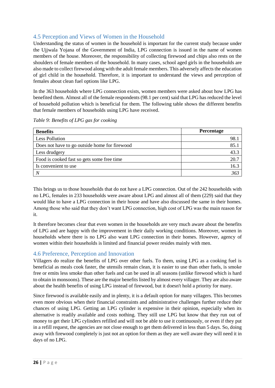## <span id="page-25-0"></span>4.5 Perception and Views of Women in the Household

Understanding the status of women in the household is important for the current study because under the Ujjwala Yojana of the Government of India, LPG connection is issued in the name of women members of the house. Moreover, the responsibility of collecting firewood and chips also rests on the shoulders of female members of the household. In many cases, school aged girls in the households are also made to collect firewood along with the adult female members. This adversely affects the education of girl child in the household. Therefore, it is important to understand the views and perception of females about clean fuel options like LPG.

In the 363 households where LPG connection exists, women members were asked about how LPG has benefited them. Almost all of the female respondents (98.1 per cent) said that LPG has reduced the level of household pollution which is beneficial for them. The following table shows the different benefits that female members of households using LPG have received.

| <b>Benefits</b>                               | <b>Percentage</b> |
|-----------------------------------------------|-------------------|
| <b>Less Pollution</b>                         | 98.               |
| Does not have to go outside home for firewood | 85.1              |
| Less drudgery                                 | 43.3              |
| Food is cooked fast so gets some free time    | 20.7              |
| Is convenient to use                          | 16.3              |
|                                               | 363               |

<span id="page-25-2"></span>*Table 9: Benefits of LPG gas for cooking*

This brings us to those households that do not have a LPG connection. Out of the 242 households with no LPG, females in 233 households were aware about LPG and almost all of them (229) said that they would like to have a LPG connection in their house and have also discussed the same in their homes. Among those who said that they don't want LPG connection, high cost of LPG was the main reason for it.

It therefore becomes clear that even women in the households are very much aware about the benefits of LPG and are happy with the improvement in their daily working conditions. Moreover, women in households where there is no LPG also want LPG connection in their homes. However, agency of women within their households is limited and financial power resides mainly with men.

## <span id="page-25-1"></span>4.6 Preference, Perception and Innovation

Villagers do realize the benefits of LPG over other fuels. To them, using LPG as a cooking fuel is beneficial as meals cook faster, the utensils remain clean, it is easier to use than other fuels, is smoke free or emits less smoke than other fuels and can be used in all seasons (unlike firewood which is hard to obtain in monsoons). These are the major benefits listed by almost every villager. They are also aware about the health benefits of using LPG instead of firewood, but it doesn't hold a priority for many.

Since firewood is available easily and in plenty, it is a default option for many villagers. This becomes even more obvious when their financial constraints and administrative challenges further reduce their chances of using LPG. Getting an LPG cylinder is expensive in their opinion, especially when its alternative is readily available and costs nothing. They still use LPG but know that they run out of money to get their LPG cylinders refilled and will not be able to use it continuously, or even if they put in a refill request, the agencies are not close enough to get them delivered in less than 5 days. So, doing away with firewood completely is just not an option for them as they are well aware they will need it in days of no LPG.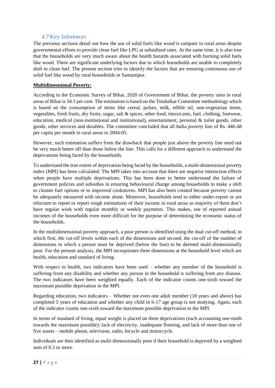### 4.7Key Inferences

<span id="page-26-0"></span>The previous sections detail out how the use of solid fuels like wood is rampant in rural areas despite governmental efforts to provide clean fuel like LPG at subsidised rates. At the same time, it is also true that the households are very much aware about the health hazards associated with burning solid fuels like wood. There are significant underlying factors due to which households are unable to completely shift to clean fuel. The present section tries to identify the factors that are ensuring continuous use of solid fuel like wood by rural households in Samastipur.

### **Multidimensional Poverty:**

According to the Economic Survey of Bihar, 2020 of Government of Bihar, the poverty ratio in rural areas of Bihar is 34.1 per cent. The estimation is based on the Tendulkar Committee methodology which is based on the consumption of items like cereal, pulses, milk, edible oil, non-vegetarian items, vegetables, fresh fruits, dry fruits, sugar, salt & spices, other food, intoxicants, fuel, clothing, footwear, education, medical (non-institutional and institutional), entertainment, personal & toilet goods, other goods, other services and durables. The committee concluded that all India poverty line of Rs. 446.68 per capita per month in rural areas in 2004-05.

However, such estimation suffers from the drawback that people just above the poverty line need not be very much better off than those below the line. This calls for a different approach to understand the deprivations being faced by the households.

To understand the true extent of deprivation being faced by the households, a multi-dimensional poverty index (MPI) has been calculated. The MPI takes into account that there are negative interaction effects when people have multiple deprivations. This has been done to better understand the failure of government policies and subsidies in ensuring behavioural change among households to make a shift to cleaner fuel options or to improved cookstoves. MPI has also been created because poverty cannot be adequately measured with income alone. Moreover, households tend to either under-report or are reluctant to report or report rough estimations of their income in rural areas as majority of them don't have regular work with regular monthly or weekly payments. This makes, use of reported annual incomes of the households even more difficult for the purpose of determining the economic status of the households.

In the multidimensional poverty approach, a poor person is identified using the dual cut-off method, in which first, the cut-off levels within each of the dimensions and second, the cut-off of the number of dimensions in which a person must be deprived (below the line) to be deemed multi-dimensionally poor. For the present analysis, the MPI incorporates three dimensions at the household level which are health, education and standard of living.

With respect to health, two indicators have been used – whether any member of the household is suffering from any disability and whether any person in the household is suffering from any disease. The two indicators have been weighted equally. Each of the indicator counts one-sixth toward the maximum possible deprivation in the MPI.

Regarding education, two indicators – Whether not even one adult member (18 years and above) has completed 5 years of education and whether any child in 6-17 age group is not studying. Again, each of the indicator counts one-sixth toward the maximum possible deprivation in the MPI.

In terms of standard of living, equal weight is placed on three deprivations (each accounting one-ninth towards the maximum possible): lack of electricity, inadequate flooring, and lack of more than one of five assets – mobile phone, television, radio, bicycle and motorcycle.

Individuals are then identified as multi-dimensionally poor if their household is deprived by a weighted sum of 0.3 or more.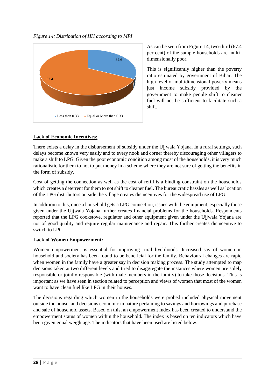<span id="page-27-0"></span>



As can be seen from Figure 14, two-third (67.4 per cent) of the sample households are multidimensionally poor.

This is significantly higher than the poverty ratio estimated by government of Bihar. The high level of multidimensional poverty means just income subsidy provided by the government to make people shift to cleaner fuel will not be sufficient to facilitate such a shift.

## **Lack of Economic Incentives:**

There exists a delay in the disbursement of subsidy under the Ujjwala Yojana. In a rural settings, such delays become known very easily and to every nook and corner thereby discouraging other villagers to make a shift to LPG. Given the poor economic condition among most of the households, it is very much rationalistic for them to not to put money in a scheme where they are not sure of getting the benefits in the form of subsidy.

Cost of getting the connection as well as the cost of refill is a binding constraint on the households which creates a deterrent for them to not shift to cleaner fuel. The bureaucratic hassles as well as location of the LPG distributors outside the village creates disincentives for the widespread use of LPG.

In addition to this, once a household gets a LPG connection, issues with the equipment, especially those given under the Ujjwala Yojana further creates financial problems for the households. Respondents reported that the LPG cookstove, regulator and other equipment given under the Ujjwala Yojana are not of good quality and require regular maintenance and repair. This further creates disincentive to switch to LPG.

## **Lack of Women Empowerment:**

Women empowerment is essential for improving rural livelihoods. Increased say of women in household and society has been found to be beneficial for the family. Behavioural changes are rapid when women in the family have a greater say in decision making process. The study attempted to map decisions taken at two different levels and tried to disaggregate the instances where women are solely responsible or jointly responsible (with male members in the family) to take those decisions. This is important as we have seen in section related to perception and views of women that most of the women want to have clean fuel like LPG in their houses.

The decisions regarding which women in the households were probed included physical movement outside the house, and decisions economic in nature pertaining to savings and borrowings and purchase and sale of household assets. Based on this, an empowerment index has been created to understand the empowerment status of women within the household. The index is based on ten indicators which have been given equal weightage. The indicators that have been used are listed below.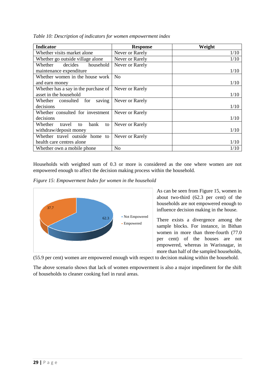| <b>Indicator</b>                      | <b>Response</b> | Weight |
|---------------------------------------|-----------------|--------|
| Whether visits market alone           | Never or Rarely | 1/10   |
| Whether go outside village alone      | Never or Rarely | 1/10   |
| decides<br>household<br>Whether       | Never or Rarely |        |
| maintenance expenditure               |                 | 1/10   |
| Whether women in the house work       | N <sub>0</sub>  |        |
| and earn money                        |                 | 1/10   |
| Whether has a say in the purchase of  | Never or Rarely |        |
| asset in the household                |                 | 1/10   |
| saving<br>Whether consulted<br>for    | Never or Rarely |        |
| decisions                             |                 | 1/10   |
| Whether consulted for investment      | Never or Rarely |        |
| decisions                             |                 | 1/10   |
| Whether<br>bank<br>travel<br>to<br>to | Never or Rarely |        |
| withdraw/deposit money                |                 | 1/10   |
| Whether travel outside home to        | Never or Rarely |        |
| health care centres alone             |                 | 1/10   |
| Whether own a mobile phone            | N <sub>0</sub>  | 1/10   |

<span id="page-28-0"></span>*Table 10: Description of indicators for women empowerment index*

Households with weighted sum of 0.3 or more is considered as the one where women are not empowered enough to affect the decision making process within the household.

<span id="page-28-1"></span>*Figure 15: Empowerment Index for women in the household*



As can be seen from Figure 15, women in about two-third (62.3 per cent) of the households are not empowered enough to influence decision making in the house.

There exists a divergence among the sample blocks. For instance, in Bithan women in more than three-fourth (77.0 per cent) of the houses are not empowered, whereas in Warisnagar, in more than half of the sampled households,

(55.9 per cent) women are empowered enough with respect to decision making within the household.

The above scenario shows that lack of women empowerment is also a major impediment for the shift of households to cleaner cooking fuel in rural areas.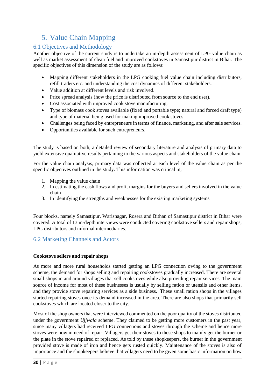# <span id="page-29-0"></span>5. Value Chain Mapping

### <span id="page-29-1"></span>6.1 Objectives and Methodology

Another objective of the current study is to undertake an in-depth assessment of LPG value chain as well as market assessment of clean fuel and improved cookstoves in Samastipur district in Bihar. The specific objectives of this dimension of the study are as follows:

- Mapping different stakeholders in the LPG cooking fuel value chain including distributors, refill traders etc. and understanding the cost dynamics of different stakeholders.
- Value addition at different levels and risk involved.
- Price spread analysis (how the price is distributed from source to the end user).
- Cost associated with improved cook stove manufacturing.
- Type of biomass cook stoves available (fixed and portable type; natural and forced draft type) and type of material being used for making improved cook stoves.
- Challenges being faced by entrepreneurs in terms of finance, marketing, and after sale services.
- Opportunities available for such entrepreneurs.

The study is based on both, a detailed review of secondary literature and analysis of primary data to yield extensive qualitative results pertaining to the various aspects and stakeholders of the value chain.

For the value chain analysis, primary data was collected at each level of the value chain as per the specific objectives outlined in the study. This information was critical in;

- 1. Mapping the value chain
- 2. In estimating the cash flows and profit margins for the buyers and sellers involved in the value chain
- 3. In identifying the strengths and weaknesses for the existing marketing systems

Four blocks, namely Samastipur, Warisnagar, Rosera and Bithan of Samastipur district in Bihar were covered. A total of 13 in-depth interviews were conducted covering cookstove sellers and repair shops, LPG distributors and informal intermediaries.

## <span id="page-29-2"></span>6.2 Marketing Channels and Actors

### **Cookstove sellers and repair shops**

As more and more rural households started getting an LPG connection owing to the government scheme, the demand for shops selling and repairing cookstoves gradually increased. There are several small shops in and around villages that sell cookstoves while also providing repair services. The main source of income for most of these businesses is usually by selling ration or utensils and other items, and they provide stove repairing services as a side business. These small ration shops in the villages started repairing stoves once its demand increased in the area. There are also shops that primarily sell cookstoves which are located closer to the city.

Most of the shop owners that were interviewed commented on the poor quality of the stoves distributed under the government *Ujjwala* scheme. They claimed to be getting more customers in the past year, since many villagers had received LPG connections and stoves through the scheme and hence more stoves were now in need of repair. Villagers get their stoves to these shops to mainly get the burner or the plate in the stove repaired or replaced. As told by these shopkeepers, the burner in the government provided stove is made of iron and hence gets rusted quickly. Maintenance of the stoves is also of importance and the shopkeepers believe that villagers need to be given some basic information on how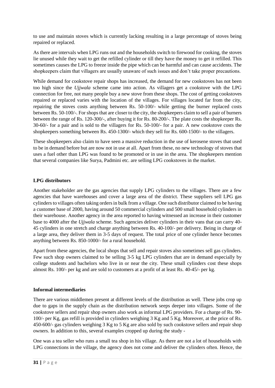to use and maintain stoves which is currently lacking resulting in a large percentage of stoves being repaired or replaced.

As there are intervals when LPG runs out and the households switch to firewood for cooking, the stoves lie unused while they wait to get the refilled cylinder or till they have the money to get it refilled. This sometimes causes the LPG to freeze inside the pipe which can be harmful and can cause accidents. The shopkeepers claim that villagers are usually unaware of such issues and don't take proper precautions.

While demand for cookstove repair shops has increased, the demand for new cookstoves has not been too high since the *Ujjwala* scheme came into action. As villagers get a cookstove with the LPG connection for free, not many people buy a new stove from these shops. The cost of getting cookstoves repaired or replaced varies with the location of the villages. For villages located far from the city, repairing the stoves costs anything between Rs. 50-100/- while getting the burner replaced costs between Rs. 50-100/-. For shops that are closer to the city, the shopkeepers claim to sell a pair of burners between the range of Rs. 120-300/-, after buying it for Rs. 80-200/-. The plate costs the shopkeeper Rs. 30-60/- for a pair and is sold to the villagers for Rs. 50-100/- for a pair. A new cookstove costs the shopkeepers something between Rs. 450-1300/- which they sell for Rs. 600-1500/- to the villagers.

These shopkeepers also claim to have seen a massive reduction in the use of kerosene stoves that used to be in demand before but are now not in use at all. Apart from these, no new technology of stoves that uses a fuel other than LPG was found to be promoted or in use in the area. The shopkeepers mention that several companies like Surya, Padmini etc. are selling LPG cookstoves in the market.

### **LPG distributors**

Another stakeholder are the gas agencies that supply LPG cylinders to the villages. There are a few agencies that have warehouses and cover a large area of the district. These suppliers sell LPG gas cylinders to villages often taking orders in bulk from a village. One such distributor claimed to be having a customer base of 2000, having around 50 commercial cylinders and 500 small household cylinders in their warehouse. Another agency in the area reported to having witnessed an increase in their customer base to 4000 after the *Ujjwala* scheme. Such agencies deliver cylinders in their vans that can carry 40- 45 cylinders in one stretch and charge anything between Rs. 40-100/- per delivery. Being in charge of a large area, they deliver them in 3-5 days of request. The total price of one cylinder hence becomes anything between Rs. 850-1000/- for a rural household.

Apart from these agencies, the local shops that sell and repair stoves also sometimes sell gas cylinders. Few such shop owners claimed to be selling 3-5 kg LPG cylinders that are in demand especially by college students and bachelors who live in or near the city. These small cylinders cost these shops almost Rs. 100/- per kg and are sold to customers at a profit of at least Rs. 40-45/- per kg.

### **Informal intermediaries**

There are various middlemen present at different levels of the distribution as well. These jobs crop up due to gaps in the supply chain as the distribution network seeps deeper into villages. Some of the cookstove sellers and repair shop owners also work as informal LPG providers. For a charge of Rs. 90- 100/- per Kg, gas refill is provided in cylinders weighing 3 Kg and 5 Kg. Moreover, at the price of Rs. 450-600/- gas cylinders weighing 3 Kg to 5 Kg are also sold by such cookstove sellers and repair shop owners. In addition to this, several examples cropped up during the study -

One was a tea seller who runs a small tea shop in his village. As there are not a lot of households with LPG connections in the village, the agency does not come and deliver the cylinders often. Hence, the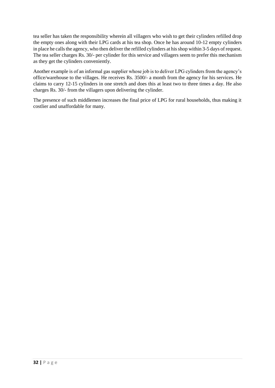tea seller has taken the responsibility wherein all villagers who wish to get their cylinders refilled drop the empty ones along with their LPG cards at his tea shop. Once he has around 10-12 empty cylinders in place he calls the agency, who then deliver the refilled cylinders at his shop within 3-5 days of request. The tea seller charges Rs. 30/- per cylinder for this service and villagers seem to prefer this mechanism as they get the cylinders conveniently.

Another example is of an informal gas supplier whose job is to deliver LPG cylinders from the agency's office/warehouse to the villages. He receives Rs. 3500/- a month from the agency for his services. He claims to carry 12-15 cylinders in one stretch and does this at least two to three times a day. He also charges Rs. 30/- from the villagers upon delivering the cylinder.

The presence of such middlemen increases the final price of LPG for rural households, thus making it costlier and unaffordable for many.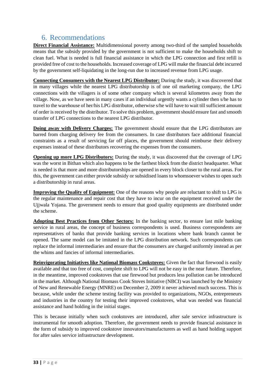# 6. Recommendations

<span id="page-32-0"></span>**Direct Financial Assistance:** Multidimensional poverty among two-third of the sampled households means that the subsidy provided by the government is not sufficient to make the households shift to clean fuel. What is needed is full financial assistance in which the LPG connection and first refill is provided free of cost to the households. Increased coverage of LPG will make the financial debt incurred by the government self-liquidating in the long-run due to increased revenue from LPG usage.

**Connecting Consumers with the Nearest LPG Distributor:** During the study, it was discovered that in many villages while the nearest LPG distributorship is of one oil marketing company, the LPG connections with the villagers is of some other company which is several kilometres away from the village. Now, as we have seen in many cases if an individual urgently wants a cylinder then s/he has to travel to the warehouse of her/his LPG distributor, otherwise s/he will have to wait till sufficient amount of order is received by the distributor. To solve this problem, government should ensure fast and smooth transfer of LPG connections to the nearest LPG distributor.

**Doing away with Delivery Charges:** The government should ensure that the LPG distributors are barred from charging delivery fee from the consumers. In case distributors face additional financial constraints as a result of servicing far off places, the government should reimburse their delivery expenses instead of these distributors recovering the expenses from the consumers.

**Opening up more LPG Distributors:** During the study, it was discovered that the coverage of LPG was the worst in Bithan which also happens to be the farthest block from the district headquarter. What is needed is that more and more distributorships are opened in every block closer to the rural areas. For this, the government can either provide subsidy or subsidised loans to whomsoever wishes to open such a distributorship in rural areas.

**Improving the Quality of Equipment:** One of the reasons why people are reluctant to shift to LPG is the regular maintenance and repair cost that they have to incur on the equipment received under the Ujjwala Yojana. The government needs to ensure that good quality equipments are distributed under the scheme.

**Adopting Best Practices from Other Sectors:** In the banking sector, to ensure last mile banking service in rural areas, the concept of business correspondents is used. Business correspondents are representatives of banks that provide banking services in locations where bank branch cannot be opened. The same model can be imitated in the LPG distribution network. Such correspondents can replace the informal intermediaries and ensure that the consumers are charged uniformly instead as per the whims and fancies of informal intermediaries.

**Reinvigorating Initiatives like National Biomass Cookstoves:** Given the fact that firewood is easily available and that too free of cost, complete shift to LPG will not be easy in the near future. Therefore, in the meantime, improved cookstoves that use firewood but produces less pollution can be introduced in the market. Although National Biomass Cook Stoves Initiative (NBCI) was launched by the Ministry of New and Renewable Energy (MNRE) on December 2, 2009 it never achieved much success. This is because, while under the scheme testing facility was provided to organizations, NGOs, entrepreneurs and industries in the country for testing their improved cookstoves, what was needed was financial assistance and hand holding in the initial stages.

This is because initially when such cookstoves are introduced, after sale service infrastructure is instrumental for smooth adoption. Therefore, the government needs to provide financial assistance in the form of subsidy to improved cookstove innovators/manufacturers as well as hand holding support for after sales service infrastructure development.